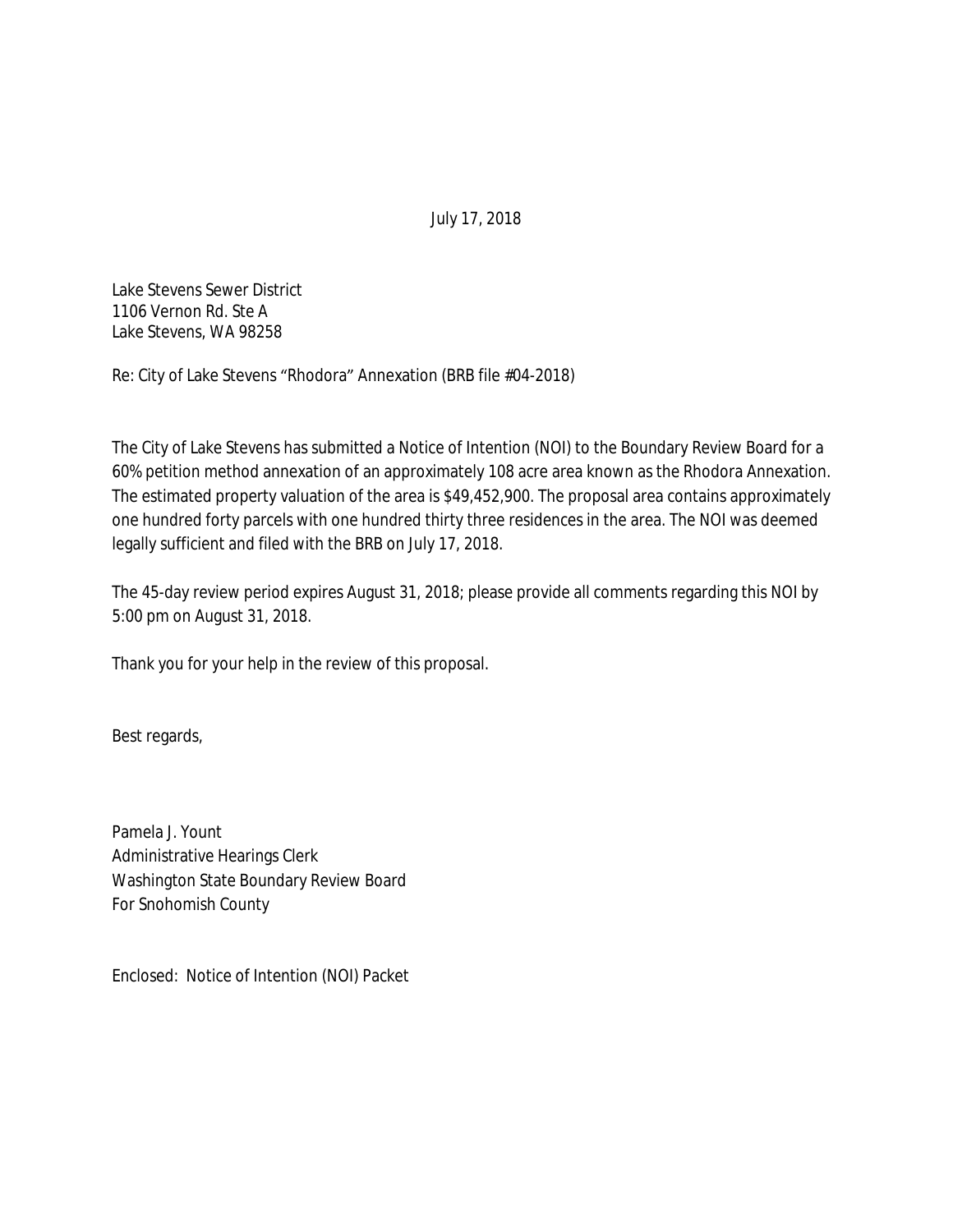Lake Stevens Sewer District 1106 Vernon Rd. Ste A Lake Stevens, WA 98258

Re: City of Lake Stevens "Rhodora" Annexation (BRB file #04-2018)

The City of Lake Stevens has submitted a Notice of Intention (NOI) to the Boundary Review Board for a 60% petition method annexation of an approximately 108 acre area known as the Rhodora Annexation. The estimated property valuation of the area is \$49,452,900. The proposal area contains approximately one hundred forty parcels with one hundred thirty three residences in the area. The NOI was deemed legally sufficient and filed with the BRB on July 17, 2018.

The 45-day review period expires August 31, 2018; please provide all comments regarding this NOI by 5:00 pm on August 31, 2018.

Thank you for your help in the review of this proposal.

Best regards,

Pamela J. Yount Administrative Hearings Clerk Washington State Boundary Review Board For Snohomish County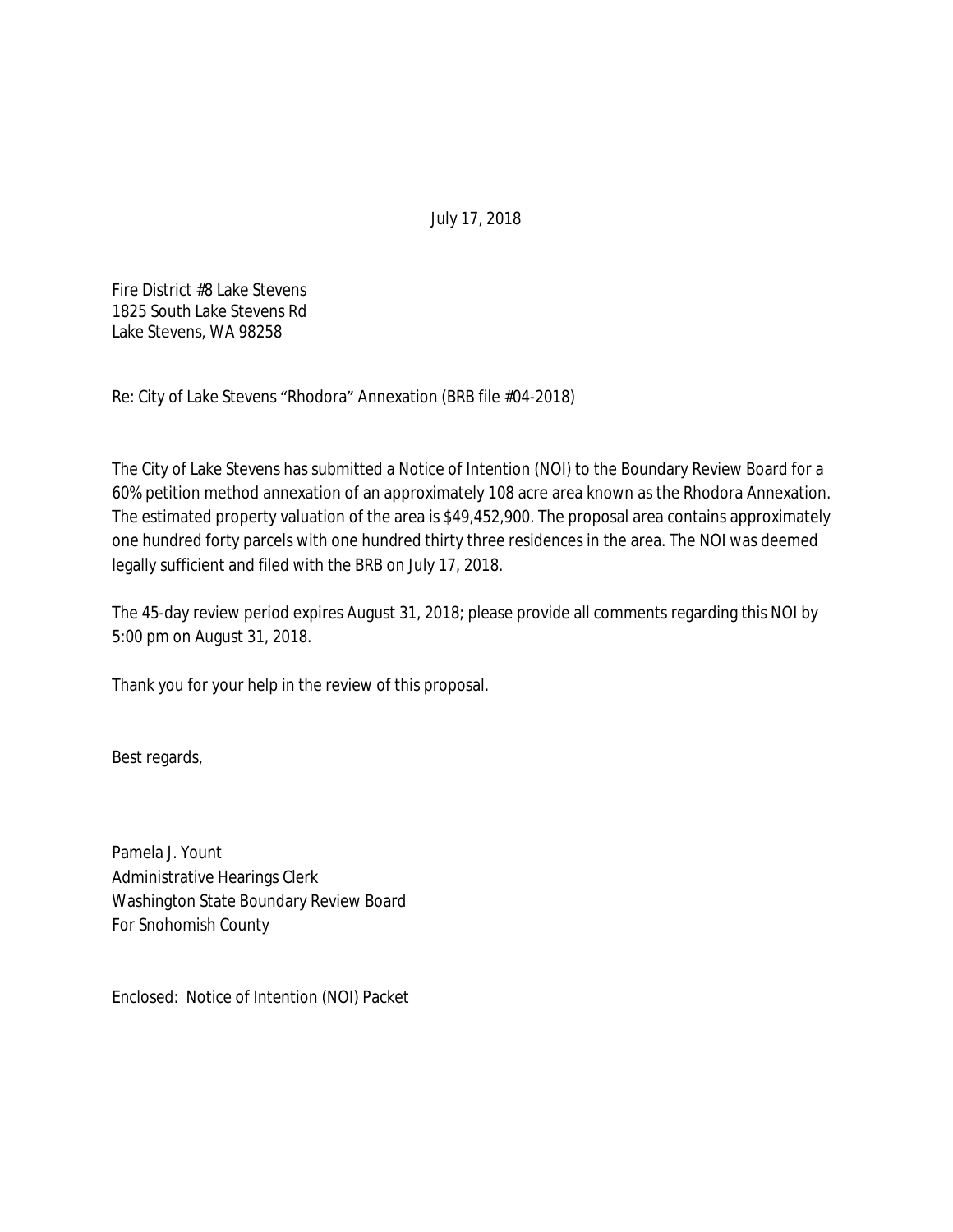Fire District #8 Lake Stevens 1825 South Lake Stevens Rd Lake Stevens, WA 98258

Re: City of Lake Stevens "Rhodora" Annexation (BRB file #04-2018)

The City of Lake Stevens has submitted a Notice of Intention (NOI) to the Boundary Review Board for a 60% petition method annexation of an approximately 108 acre area known as the Rhodora Annexation. The estimated property valuation of the area is \$49,452,900. The proposal area contains approximately one hundred forty parcels with one hundred thirty three residences in the area. The NOI was deemed legally sufficient and filed with the BRB on July 17, 2018.

The 45-day review period expires August 31, 2018; please provide all comments regarding this NOI by 5:00 pm on August 31, 2018.

Thank you for your help in the review of this proposal.

Best regards,

Pamela J. Yount Administrative Hearings Clerk Washington State Boundary Review Board For Snohomish County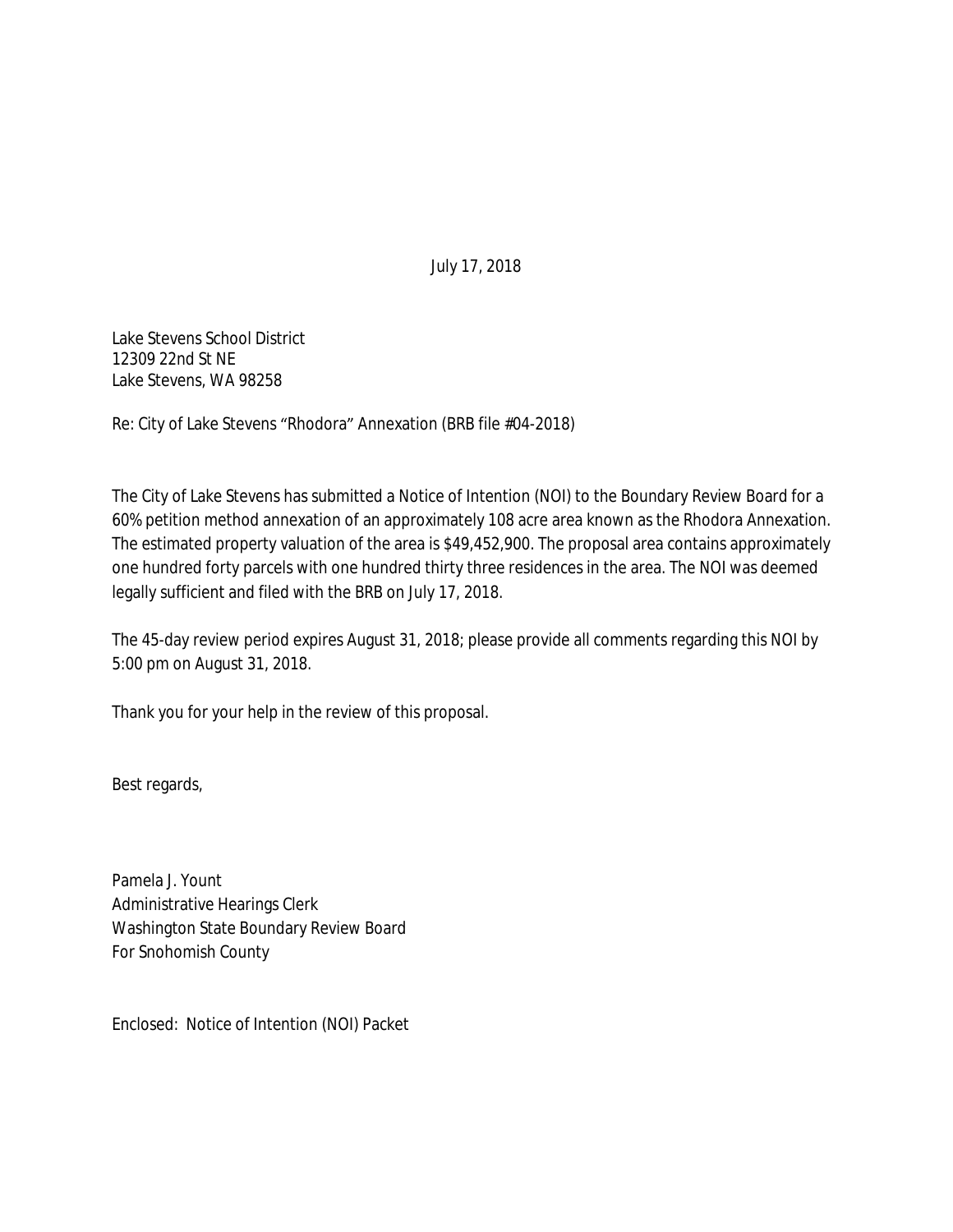Lake Stevens School District 12309 22nd St NE Lake Stevens, WA 98258

Re: City of Lake Stevens "Rhodora" Annexation (BRB file #04-2018)

The City of Lake Stevens has submitted a Notice of Intention (NOI) to the Boundary Review Board for a 60% petition method annexation of an approximately 108 acre area known as the Rhodora Annexation. The estimated property valuation of the area is \$49,452,900. The proposal area contains approximately one hundred forty parcels with one hundred thirty three residences in the area. The NOI was deemed legally sufficient and filed with the BRB on July 17, 2018.

The 45-day review period expires August 31, 2018; please provide all comments regarding this NOI by 5:00 pm on August 31, 2018.

Thank you for your help in the review of this proposal.

Best regards,

Pamela J. Yount Administrative Hearings Clerk Washington State Boundary Review Board For Snohomish County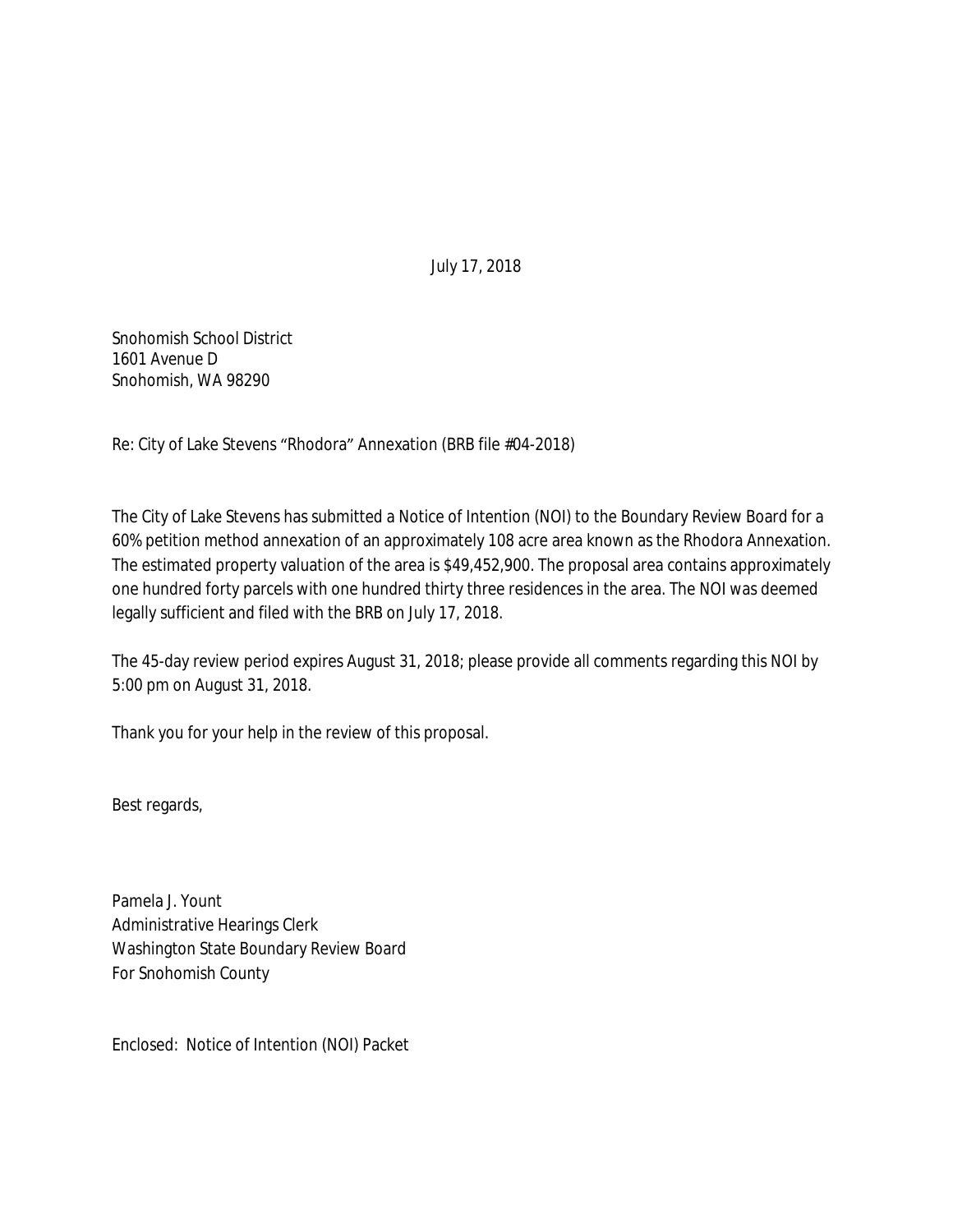Snohomish School District 1601 Avenue D Snohomish, WA 98290

Re: City of Lake Stevens "Rhodora" Annexation (BRB file #04-2018)

The City of Lake Stevens has submitted a Notice of Intention (NOI) to the Boundary Review Board for a 60% petition method annexation of an approximately 108 acre area known as the Rhodora Annexation. The estimated property valuation of the area is \$49,452,900. The proposal area contains approximately one hundred forty parcels with one hundred thirty three residences in the area. The NOI was deemed legally sufficient and filed with the BRB on July 17, 2018.

The 45-day review period expires August 31, 2018; please provide all comments regarding this NOI by 5:00 pm on August 31, 2018.

Thank you for your help in the review of this proposal.

Best regards,

Pamela J. Yount Administrative Hearings Clerk Washington State Boundary Review Board For Snohomish County